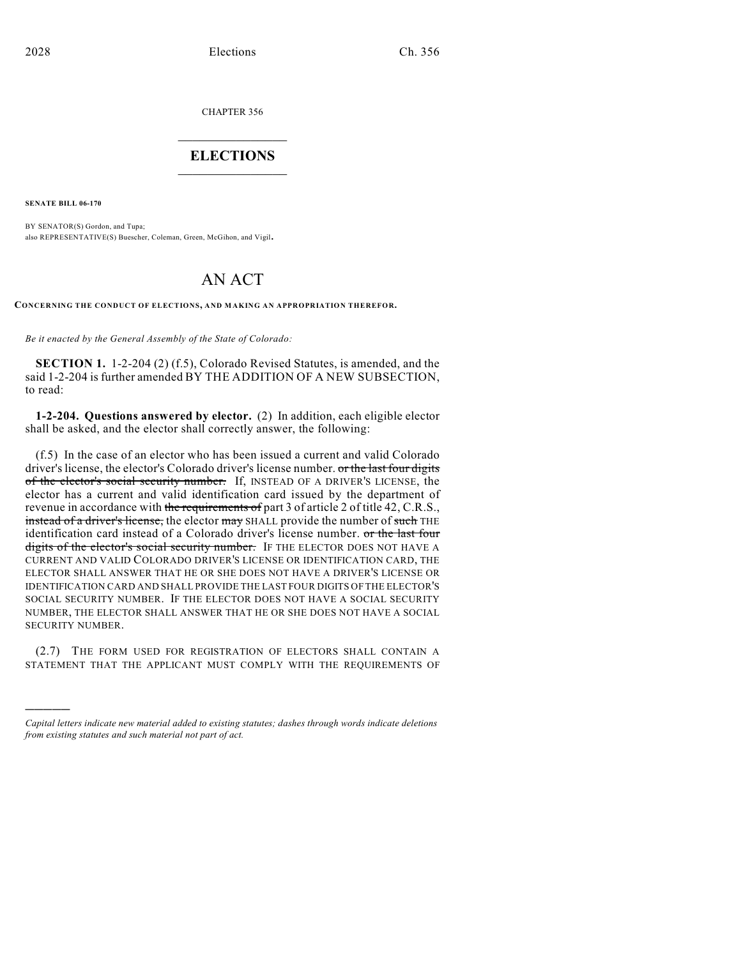CHAPTER 356

## $\overline{\phantom{a}}$  . The set of the set of the set of the set of the set of the set of the set of the set of the set of the set of the set of the set of the set of the set of the set of the set of the set of the set of the set o **ELECTIONS**  $\_$

**SENATE BILL 06-170**

)))))

BY SENATOR(S) Gordon, and Tupa; also REPRESENTATIVE(S) Buescher, Coleman, Green, McGihon, and Vigil.

# AN ACT

**CONCERNING THE CONDUCT OF ELECTIONS, AND MAKING AN APPROPRIATION THEREFOR.**

*Be it enacted by the General Assembly of the State of Colorado:*

**SECTION 1.** 1-2-204 (2) (f.5), Colorado Revised Statutes, is amended, and the said 1-2-204 is further amended BY THE ADDITION OF A NEW SUBSECTION, to read:

**1-2-204. Questions answered by elector.** (2) In addition, each eligible elector shall be asked, and the elector shall correctly answer, the following:

(f.5) In the case of an elector who has been issued a current and valid Colorado driver's license, the elector's Colorado driver's license number. or the last four digits of the elector's social security number. If, INSTEAD OF A DRIVER'S LICENSE, the elector has a current and valid identification card issued by the department of revenue in accordance with the requirements of part 3 of article 2 of title 42, C.R.S., instead of a driver's license, the elector may SHALL provide the number of such THE identification card instead of a Colorado driver's license number. or the last four digits of the elector's social security number. IF THE ELECTOR DOES NOT HAVE A CURRENT AND VALID COLORADO DRIVER'S LICENSE OR IDENTIFICATION CARD, THE ELECTOR SHALL ANSWER THAT HE OR SHE DOES NOT HAVE A DRIVER'S LICENSE OR IDENTIFICATION CARD AND SHALL PROVIDE THE LAST FOUR DIGITS OF THE ELECTOR'S SOCIAL SECURITY NUMBER. IF THE ELECTOR DOES NOT HAVE A SOCIAL SECURITY NUMBER, THE ELECTOR SHALL ANSWER THAT HE OR SHE DOES NOT HAVE A SOCIAL SECURITY NUMBER.

(2.7) THE FORM USED FOR REGISTRATION OF ELECTORS SHALL CONTAIN A STATEMENT THAT THE APPLICANT MUST COMPLY WITH THE REQUIREMENTS OF

*Capital letters indicate new material added to existing statutes; dashes through words indicate deletions from existing statutes and such material not part of act.*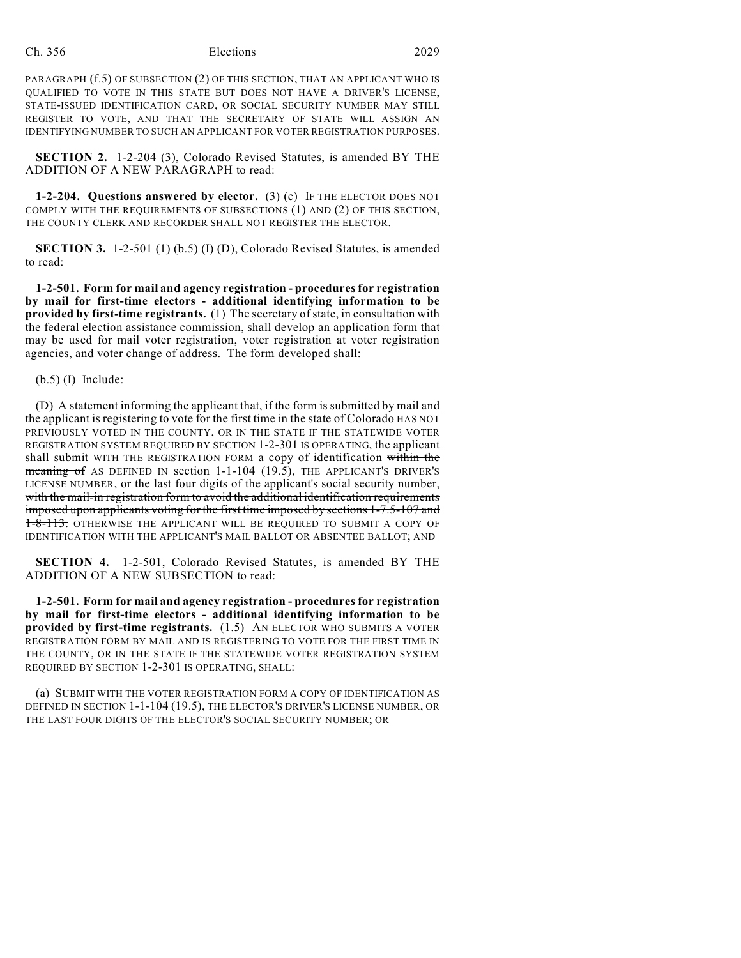### Ch. 356 Elections 2029

PARAGRAPH  $(f.5)$  OF SUBSECTION  $(2)$  OF THIS SECTION, THAT AN APPLICANT WHO IS QUALIFIED TO VOTE IN THIS STATE BUT DOES NOT HAVE A DRIVER'S LICENSE, STATE-ISSUED IDENTIFICATION CARD, OR SOCIAL SECURITY NUMBER MAY STILL REGISTER TO VOTE, AND THAT THE SECRETARY OF STATE WILL ASSIGN AN IDENTIFYING NUMBER TO SUCH AN APPLICANT FOR VOTER REGISTRATION PURPOSES.

**SECTION 2.** 1-2-204 (3), Colorado Revised Statutes, is amended BY THE ADDITION OF A NEW PARAGRAPH to read:

**1-2-204. Questions answered by elector.** (3) (c) IF THE ELECTOR DOES NOT COMPLY WITH THE REQUIREMENTS OF SUBSECTIONS (1) AND (2) OF THIS SECTION, THE COUNTY CLERK AND RECORDER SHALL NOT REGISTER THE ELECTOR.

**SECTION 3.** 1-2-501 (1) (b.5) (I) (D), Colorado Revised Statutes, is amended to read:

**1-2-501. Form for mail and agency registration - procedures for registration by mail for first-time electors - additional identifying information to be provided by first-time registrants.** (1) The secretary of state, in consultation with the federal election assistance commission, shall develop an application form that may be used for mail voter registration, voter registration at voter registration agencies, and voter change of address. The form developed shall:

(b.5) (I) Include:

(D) A statement informing the applicant that, if the form is submitted by mail and the applicant is registering to vote for the first time in the state of Colorado HAS NOT PREVIOUSLY VOTED IN THE COUNTY, OR IN THE STATE IF THE STATEWIDE VOTER REGISTRATION SYSTEM REQUIRED BY SECTION 1-2-301 IS OPERATING, the applicant shall submit WITH THE REGISTRATION FORM a copy of identification within the meaning of AS DEFINED IN section 1-1-104 (19.5), THE APPLICANT'S DRIVER'S LICENSE NUMBER, or the last four digits of the applicant's social security number, with the mail-in registration form to avoid the additional identification requirements imposed upon applicants voting for the first time imposed by sections 1-7.5-107 and 1-8-113. OTHERWISE THE APPLICANT WILL BE REQUIRED TO SUBMIT A COPY OF IDENTIFICATION WITH THE APPLICANT'S MAIL BALLOT OR ABSENTEE BALLOT; AND

**SECTION 4.** 1-2-501, Colorado Revised Statutes, is amended BY THE ADDITION OF A NEW SUBSECTION to read:

**1-2-501. Form for mail and agency registration - procedures for registration by mail for first-time electors - additional identifying information to be provided by first-time registrants.** (1.5) AN ELECTOR WHO SUBMITS A VOTER REGISTRATION FORM BY MAIL AND IS REGISTERING TO VOTE FOR THE FIRST TIME IN THE COUNTY, OR IN THE STATE IF THE STATEWIDE VOTER REGISTRATION SYSTEM REQUIRED BY SECTION 1-2-301 IS OPERATING, SHALL:

(a) SUBMIT WITH THE VOTER REGISTRATION FORM A COPY OF IDENTIFICATION AS DEFINED IN SECTION 1-1-104 (19.5), THE ELECTOR'S DRIVER'S LICENSE NUMBER, OR THE LAST FOUR DIGITS OF THE ELECTOR'S SOCIAL SECURITY NUMBER; OR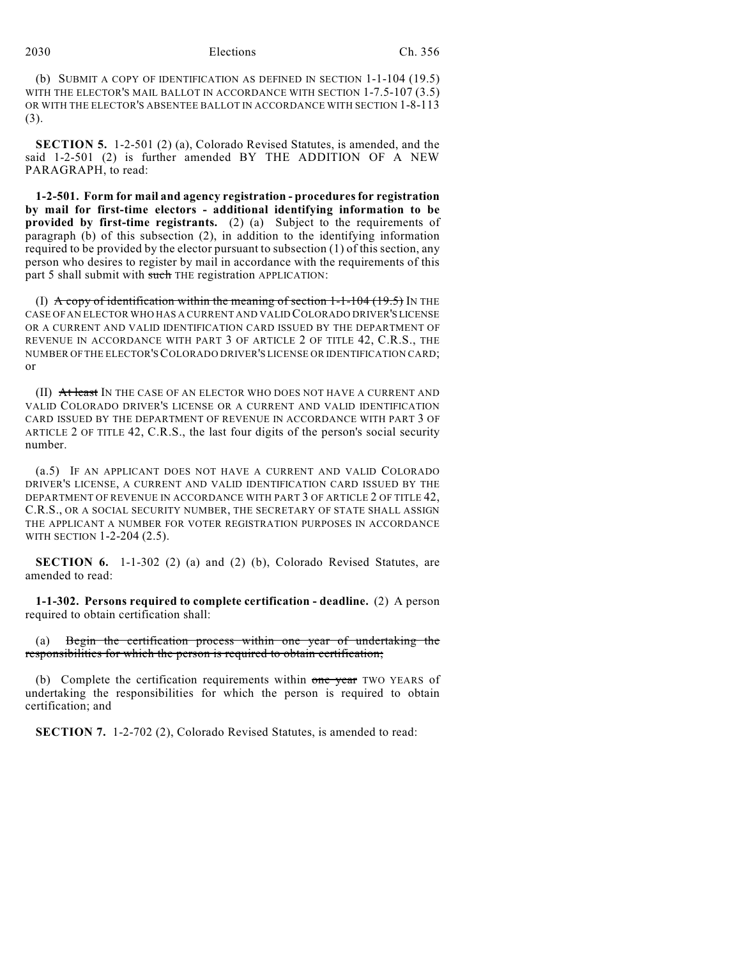## 2030 Elections Ch. 356

(b) SUBMIT A COPY OF IDENTIFICATION AS DEFINED IN SECTION 1-1-104 (19.5) WITH THE ELECTOR'S MAIL BALLOT IN ACCORDANCE WITH SECTION 1-7.5-107 (3.5) OR WITH THE ELECTOR'S ABSENTEE BALLOT IN ACCORDANCE WITH SECTION 1-8-113 (3).

**SECTION 5.** 1-2-501 (2) (a), Colorado Revised Statutes, is amended, and the said 1-2-501 (2) is further amended BY THE ADDITION OF A NEW PARAGRAPH, to read:

**1-2-501. Form for mail and agency registration - proceduresfor registration by mail for first-time electors - additional identifying information to be provided by first-time registrants.** (2) (a) Subject to the requirements of paragraph (b) of this subsection (2), in addition to the identifying information required to be provided by the elector pursuant to subsection (1) of this section, any person who desires to register by mail in accordance with the requirements of this part 5 shall submit with such THE registration APPLICATION:

(I)  $\overrightarrow{A}$  copy of identification within the meaning of section 1-1-104 (19.5) IN THE CASE OF AN ELECTOR WHO HAS A CURRENT AND VALID COLORADO DRIVER'S LICENSE OR A CURRENT AND VALID IDENTIFICATION CARD ISSUED BY THE DEPARTMENT OF REVENUE IN ACCORDANCE WITH PART 3 OF ARTICLE 2 OF TITLE 42, C.R.S., THE NUMBER OF THE ELECTOR'S COLORADO DRIVER'S LICENSE OR IDENTIFICATION CARD; or

(II) At least IN THE CASE OF AN ELECTOR WHO DOES NOT HAVE A CURRENT AND VALID COLORADO DRIVER'S LICENSE OR A CURRENT AND VALID IDENTIFICATION CARD ISSUED BY THE DEPARTMENT OF REVENUE IN ACCORDANCE WITH PART 3 OF ARTICLE 2 OF TITLE 42, C.R.S., the last four digits of the person's social security number.

(a.5) IF AN APPLICANT DOES NOT HAVE A CURRENT AND VALID COLORADO DRIVER'S LICENSE, A CURRENT AND VALID IDENTIFICATION CARD ISSUED BY THE DEPARTMENT OF REVENUE IN ACCORDANCE WITH PART 3 OF ARTICLE 2 OF TITLE 42, C.R.S., OR A SOCIAL SECURITY NUMBER, THE SECRETARY OF STATE SHALL ASSIGN THE APPLICANT A NUMBER FOR VOTER REGISTRATION PURPOSES IN ACCORDANCE WITH SECTION 1-2-204 (2.5).

**SECTION 6.** 1-1-302 (2) (a) and (2) (b), Colorado Revised Statutes, are amended to read:

**1-1-302. Persons required to complete certification - deadline.** (2) A person required to obtain certification shall:

Begin the certification process within one year of undertaking the responsibilities for which the person is required to obtain certification;

(b) Complete the certification requirements within one year TWO YEARS of undertaking the responsibilities for which the person is required to obtain certification; and

**SECTION 7.** 1-2-702 (2), Colorado Revised Statutes, is amended to read: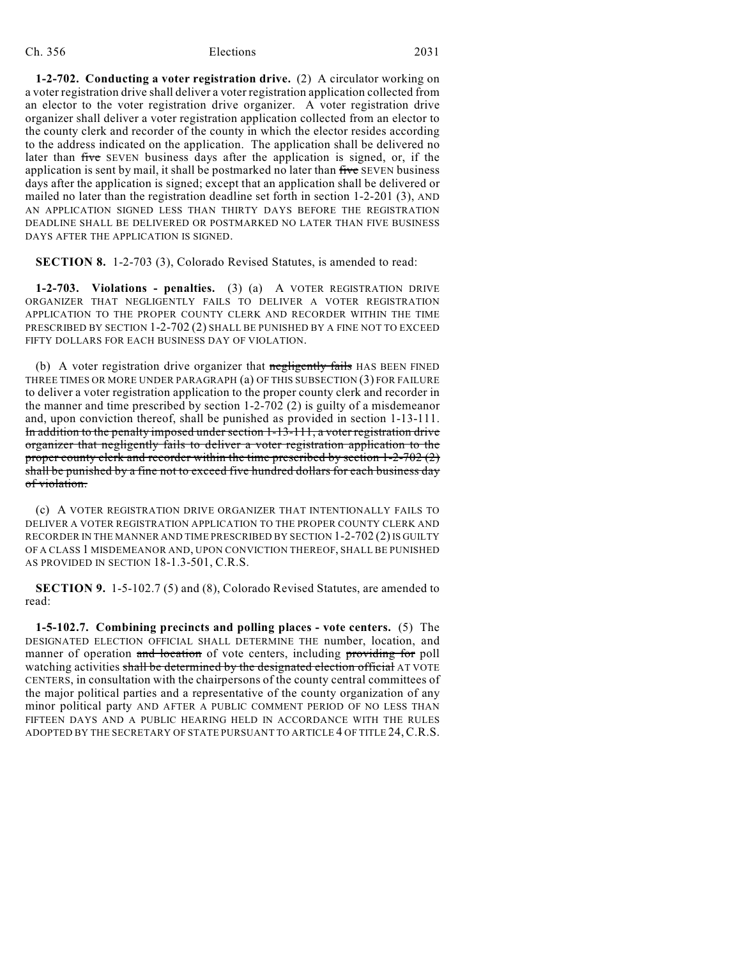### Ch. 356 Elections 2031

**1-2-702. Conducting a voter registration drive.** (2) A circulator working on a voter registration drive shall deliver a voter registration application collected from an elector to the voter registration drive organizer. A voter registration drive organizer shall deliver a voter registration application collected from an elector to the county clerk and recorder of the county in which the elector resides according to the address indicated on the application. The application shall be delivered no later than five SEVEN business days after the application is signed, or, if the application is sent by mail, it shall be postmarked no later than five SEVEN business days after the application is signed; except that an application shall be delivered or mailed no later than the registration deadline set forth in section 1-2-201 (3), AND AN APPLICATION SIGNED LESS THAN THIRTY DAYS BEFORE THE REGISTRATION DEADLINE SHALL BE DELIVERED OR POSTMARKED NO LATER THAN FIVE BUSINESS DAYS AFTER THE APPLICATION IS SIGNED.

**SECTION 8.** 1-2-703 (3), Colorado Revised Statutes, is amended to read:

**1-2-703. Violations - penalties.** (3) (a) A VOTER REGISTRATION DRIVE ORGANIZER THAT NEGLIGENTLY FAILS TO DELIVER A VOTER REGISTRATION APPLICATION TO THE PROPER COUNTY CLERK AND RECORDER WITHIN THE TIME PRESCRIBED BY SECTION 1-2-702 (2) SHALL BE PUNISHED BY A FINE NOT TO EXCEED FIFTY DOLLARS FOR EACH BUSINESS DAY OF VIOLATION.

(b) A voter registration drive organizer that negligently fails HAS BEEN FINED THREE TIMES OR MORE UNDER PARAGRAPH (a) OF THIS SUBSECTION (3) FOR FAILURE to deliver a voter registration application to the proper county clerk and recorder in the manner and time prescribed by section 1-2-702 (2) is guilty of a misdemeanor and, upon conviction thereof, shall be punished as provided in section 1-13-111. In addition to the penalty imposed under section 1-13-111, a voter registration drive organizer that negligently fails to deliver a voter registration application to the proper county clerk and recorder within the time prescribed by section 1-2-702 (2) shall be punished by a fine not to exceed five hundred dollars for each business day of violation.

(c) A VOTER REGISTRATION DRIVE ORGANIZER THAT INTENTIONALLY FAILS TO DELIVER A VOTER REGISTRATION APPLICATION TO THE PROPER COUNTY CLERK AND RECORDER IN THE MANNER AND TIME PRESCRIBED BY SECTION 1-2-702 (2) IS GUILTY OF A CLASS 1 MISDEMEANOR AND, UPON CONVICTION THEREOF, SHALL BE PUNISHED AS PROVIDED IN SECTION 18-1.3-501, C.R.S.

**SECTION 9.** 1-5-102.7 (5) and (8), Colorado Revised Statutes, are amended to read:

**1-5-102.7. Combining precincts and polling places - vote centers.** (5) The DESIGNATED ELECTION OFFICIAL SHALL DETERMINE THE number, location, and manner of operation and location of vote centers, including providing for poll watching activities shall be determined by the designated election official AT VOTE CENTERS, in consultation with the chairpersons of the county central committees of the major political parties and a representative of the county organization of any minor political party AND AFTER A PUBLIC COMMENT PERIOD OF NO LESS THAN FIFTEEN DAYS AND A PUBLIC HEARING HELD IN ACCORDANCE WITH THE RULES ADOPTED BY THE SECRETARY OF STATE PURSUANT TO ARTICLE 4 OF TITLE 24, C.R.S.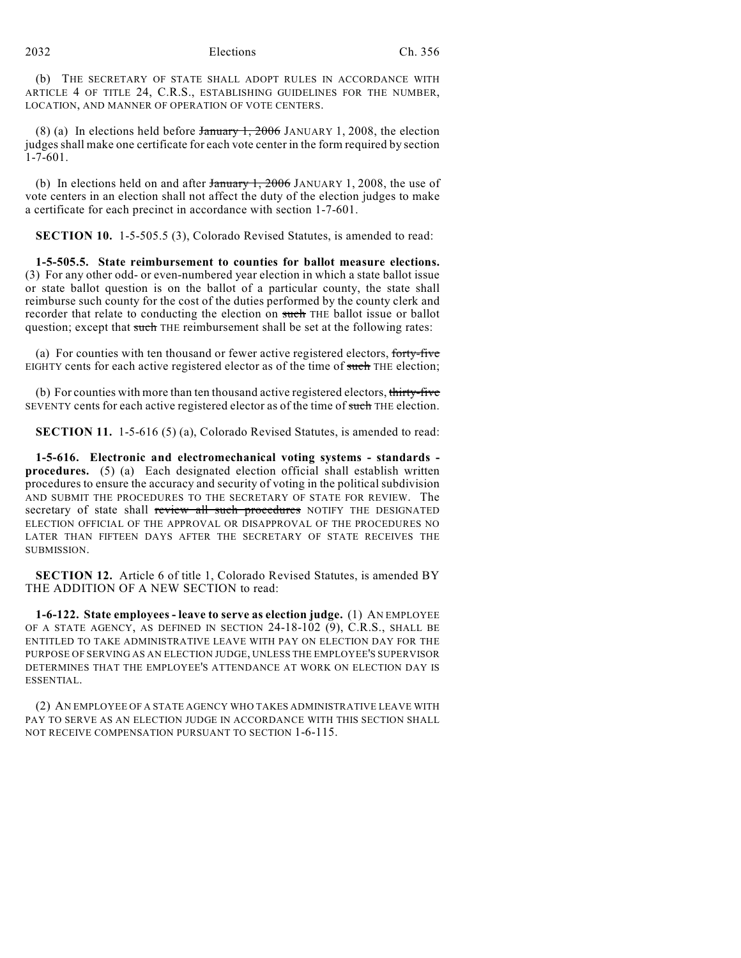2032 Elections Ch. 356

(b) THE SECRETARY OF STATE SHALL ADOPT RULES IN ACCORDANCE WITH ARTICLE 4 OF TITLE 24, C.R.S., ESTABLISHING GUIDELINES FOR THE NUMBER, LOCATION, AND MANNER OF OPERATION OF VOTE CENTERS.

(8) (a) In elections held before  $\frac{1}{2}$  January 1, 2006 JANUARY 1, 2008, the election judges shall make one certificate for each vote center in the form required by section 1-7-601.

(b) In elections held on and after  $\frac{1}{2006}$  JANUARY 1, 2008, the use of vote centers in an election shall not affect the duty of the election judges to make a certificate for each precinct in accordance with section 1-7-601.

**SECTION 10.** 1-5-505.5 (3), Colorado Revised Statutes, is amended to read:

**1-5-505.5. State reimbursement to counties for ballot measure elections.** (3) For any other odd- or even-numbered year election in which a state ballot issue or state ballot question is on the ballot of a particular county, the state shall reimburse such county for the cost of the duties performed by the county clerk and recorder that relate to conducting the election on such THE ballot issue or ballot question; except that such THE reimbursement shall be set at the following rates:

(a) For counties with ten thousand or fewer active registered electors, forty-five EIGHTY cents for each active registered elector as of the time of such THE election;

(b) For counties with more than ten thousand active registered electors, thirty-five SEVENTY cents for each active registered elector as of the time of such THE election.

**SECTION 11.** 1-5-616 (5) (a), Colorado Revised Statutes, is amended to read:

**1-5-616. Electronic and electromechanical voting systems - standards procedures.** (5) (a) Each designated election official shall establish written procedures to ensure the accuracy and security of voting in the political subdivision AND SUBMIT THE PROCEDURES TO THE SECRETARY OF STATE FOR REVIEW. The secretary of state shall review all such procedures NOTIFY THE DESIGNATED ELECTION OFFICIAL OF THE APPROVAL OR DISAPPROVAL OF THE PROCEDURES NO LATER THAN FIFTEEN DAYS AFTER THE SECRETARY OF STATE RECEIVES THE **SUBMISSION.** 

**SECTION 12.** Article 6 of title 1, Colorado Revised Statutes, is amended BY THE ADDITION OF A NEW SECTION to read:

**1-6-122. State employees - leave to serve as election judge.** (1) AN EMPLOYEE OF A STATE AGENCY, AS DEFINED IN SECTION 24-18-102 (9), C.R.S., SHALL BE ENTITLED TO TAKE ADMINISTRATIVE LEAVE WITH PAY ON ELECTION DAY FOR THE PURPOSE OF SERVING AS AN ELECTION JUDGE, UNLESS THE EMPLOYEE'S SUPERVISOR DETERMINES THAT THE EMPLOYEE'S ATTENDANCE AT WORK ON ELECTION DAY IS ESSENTIAL.

(2) AN EMPLOYEE OF A STATE AGENCY WHO TAKES ADMINISTRATIVE LEAVE WITH PAY TO SERVE AS AN ELECTION JUDGE IN ACCORDANCE WITH THIS SECTION SHALL NOT RECEIVE COMPENSATION PURSUANT TO SECTION 1-6-115.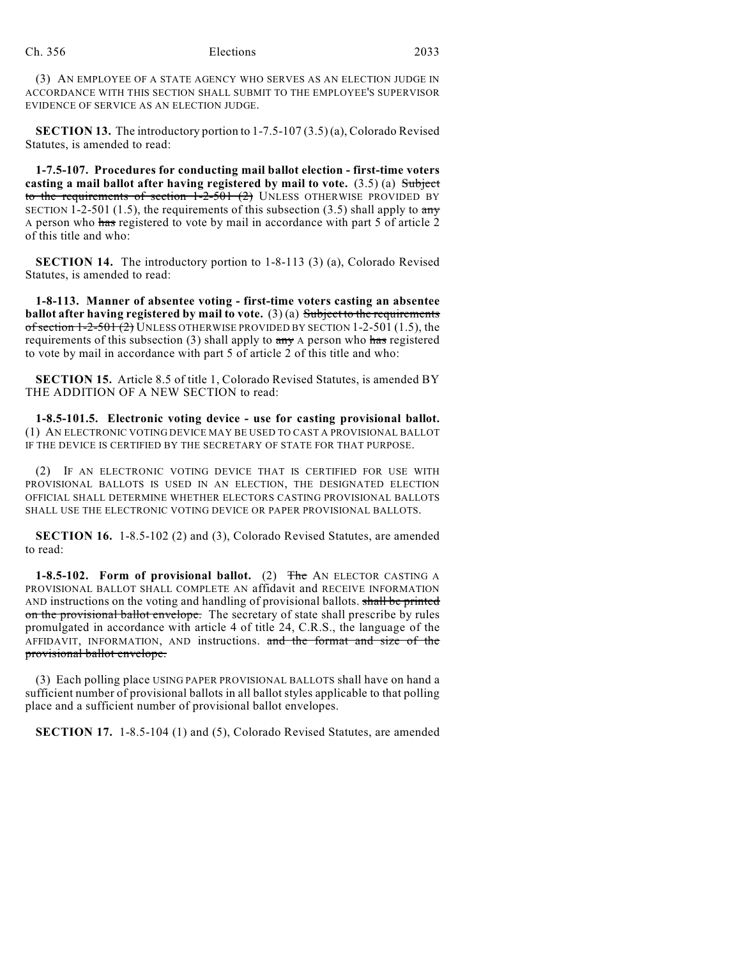(3) AN EMPLOYEE OF A STATE AGENCY WHO SERVES AS AN ELECTION JUDGE IN ACCORDANCE WITH THIS SECTION SHALL SUBMIT TO THE EMPLOYEE'S SUPERVISOR EVIDENCE OF SERVICE AS AN ELECTION JUDGE.

**SECTION 13.** The introductory portion to 1-7.5-107 (3.5) (a), Colorado Revised Statutes, is amended to read:

**1-7.5-107. Procedures for conducting mail ballot election - first-time voters casting a mail ballot after having registered by mail to vote.** (3.5) (a) Subject to the requirements of section  $1-2-501$  (2) UNLESS OTHERWISE PROVIDED BY SECTION 1-2-501 (1.5), the requirements of this subsection (3.5) shall apply to  $\frac{any}{ }$ A person who has registered to vote by mail in accordance with part 5 of article 2 of this title and who:

**SECTION 14.** The introductory portion to 1-8-113 (3) (a), Colorado Revised Statutes, is amended to read:

**1-8-113. Manner of absentee voting - first-time voters casting an absentee ballot after having registered by mail to vote.** (3) (a) Subject to the requirements of section  $1-2-501(2)$  UNLESS OTHERWISE PROVIDED BY SECTION 1-2-501 (1.5), the requirements of this subsection (3) shall apply to  $\frac{1}{\text{any}}$  A person who has registered to vote by mail in accordance with part 5 of article 2 of this title and who:

**SECTION 15.** Article 8.5 of title 1, Colorado Revised Statutes, is amended BY THE ADDITION OF A NEW SECTION to read:

**1-8.5-101.5. Electronic voting device - use for casting provisional ballot.** (1) AN ELECTRONIC VOTING DEVICE MAY BE USED TO CAST A PROVISIONAL BALLOT IF THE DEVICE IS CERTIFIED BY THE SECRETARY OF STATE FOR THAT PURPOSE.

(2) IF AN ELECTRONIC VOTING DEVICE THAT IS CERTIFIED FOR USE WITH PROVISIONAL BALLOTS IS USED IN AN ELECTION, THE DESIGNATED ELECTION OFFICIAL SHALL DETERMINE WHETHER ELECTORS CASTING PROVISIONAL BALLOTS SHALL USE THE ELECTRONIC VOTING DEVICE OR PAPER PROVISIONAL BALLOTS.

**SECTION 16.** 1-8.5-102 (2) and (3), Colorado Revised Statutes, are amended to read:

**1-8.5-102. Form of provisional ballot.** (2) The AN ELECTOR CASTING A PROVISIONAL BALLOT SHALL COMPLETE AN affidavit and RECEIVE INFORMATION AND instructions on the voting and handling of provisional ballots. shall be printed on the provisional ballot envelope. The secretary of state shall prescribe by rules promulgated in accordance with article 4 of title 24, C.R.S., the language of the AFFIDAVIT, INFORMATION, AND instructions. and the format and size of the provisional ballot envelope.

(3) Each polling place USING PAPER PROVISIONAL BALLOTS shall have on hand a sufficient number of provisional ballots in all ballot styles applicable to that polling place and a sufficient number of provisional ballot envelopes.

**SECTION 17.** 1-8.5-104 (1) and (5), Colorado Revised Statutes, are amended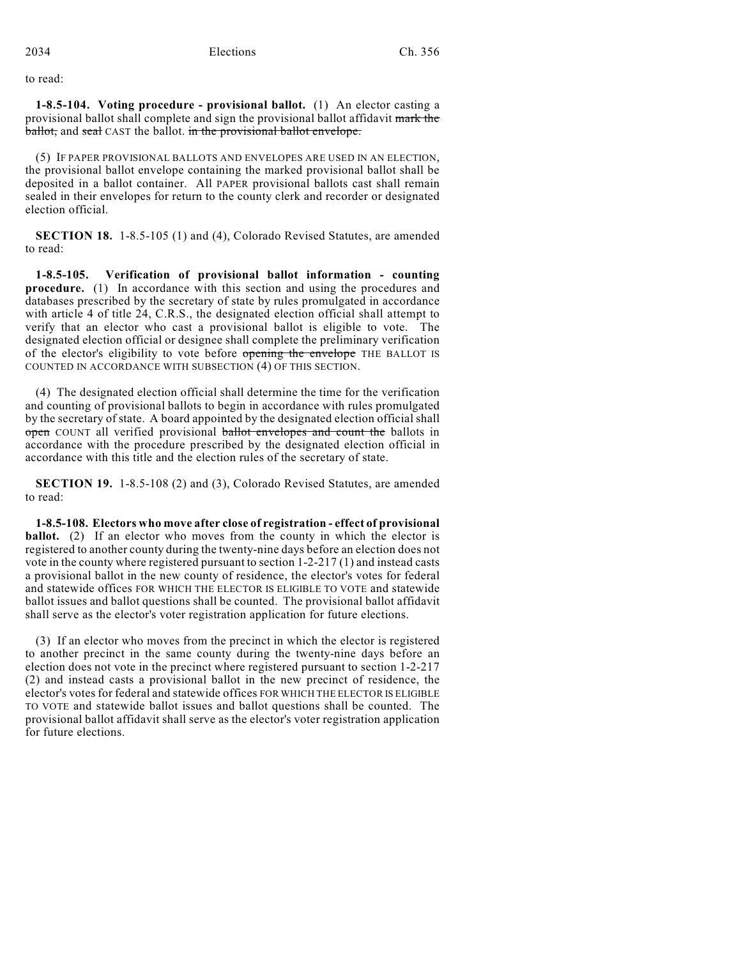to read:

**1-8.5-104. Voting procedure - provisional ballot.** (1) An elector casting a provisional ballot shall complete and sign the provisional ballot affidavit mark the ballot, and seal CAST the ballot. in the provisional ballot envelope.

(5) IF PAPER PROVISIONAL BALLOTS AND ENVELOPES ARE USED IN AN ELECTION, the provisional ballot envelope containing the marked provisional ballot shall be deposited in a ballot container. All PAPER provisional ballots cast shall remain sealed in their envelopes for return to the county clerk and recorder or designated election official.

**SECTION 18.** 1-8.5-105 (1) and (4), Colorado Revised Statutes, are amended to read:

**1-8.5-105. Verification of provisional ballot information - counting procedure.** (1) In accordance with this section and using the procedures and databases prescribed by the secretary of state by rules promulgated in accordance with article 4 of title 24, C.R.S., the designated election official shall attempt to verify that an elector who cast a provisional ballot is eligible to vote. The designated election official or designee shall complete the preliminary verification of the elector's eligibility to vote before opening the envelope THE BALLOT IS COUNTED IN ACCORDANCE WITH SUBSECTION (4) OF THIS SECTION.

(4) The designated election official shall determine the time for the verification and counting of provisional ballots to begin in accordance with rules promulgated by the secretary of state. A board appointed by the designated election official shall open COUNT all verified provisional ballot envelopes and count the ballots in accordance with the procedure prescribed by the designated election official in accordance with this title and the election rules of the secretary of state.

**SECTION 19.** 1-8.5-108 (2) and (3), Colorado Revised Statutes, are amended to read:

**1-8.5-108. Electors who move after close of registration - effect of provisional ballot.** (2) If an elector who moves from the county in which the elector is registered to another county during the twenty-nine days before an election does not vote in the county where registered pursuant to section 1-2-217 (1) and instead casts a provisional ballot in the new county of residence, the elector's votes for federal and statewide offices FOR WHICH THE ELECTOR IS ELIGIBLE TO VOTE and statewide ballot issues and ballot questions shall be counted. The provisional ballot affidavit shall serve as the elector's voter registration application for future elections.

(3) If an elector who moves from the precinct in which the elector is registered to another precinct in the same county during the twenty-nine days before an election does not vote in the precinct where registered pursuant to section 1-2-217 (2) and instead casts a provisional ballot in the new precinct of residence, the elector's votes for federal and statewide offices FOR WHICH THE ELECTOR IS ELIGIBLE TO VOTE and statewide ballot issues and ballot questions shall be counted. The provisional ballot affidavit shall serve as the elector's voter registration application for future elections.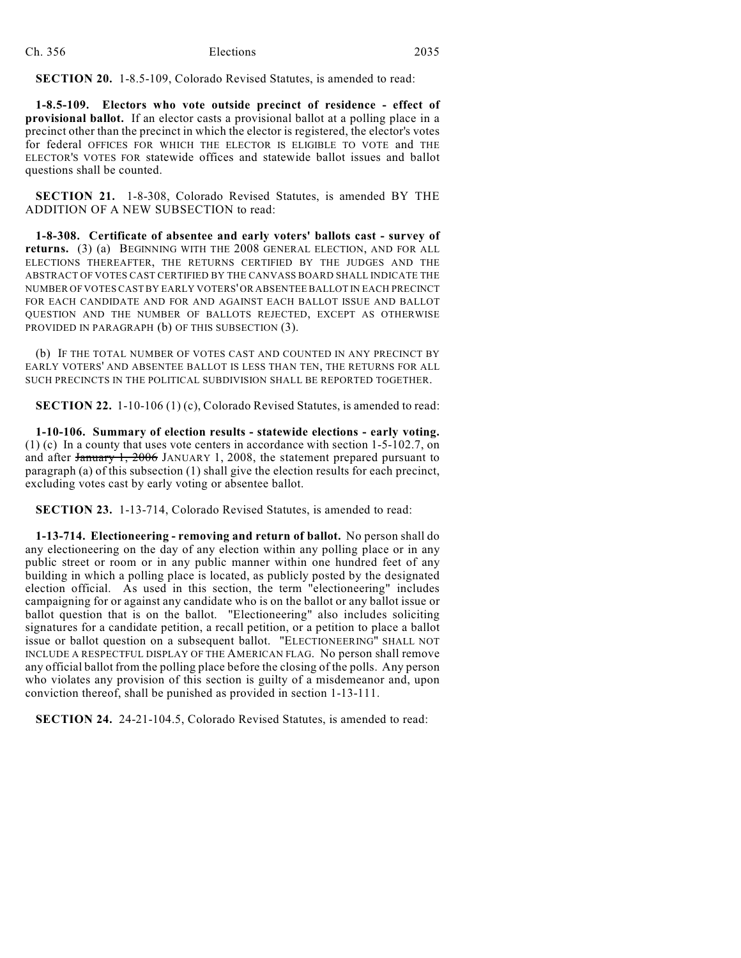**SECTION 20.** 1-8.5-109, Colorado Revised Statutes, is amended to read:

**1-8.5-109. Electors who vote outside precinct of residence - effect of provisional ballot.** If an elector casts a provisional ballot at a polling place in a precinct other than the precinct in which the elector is registered, the elector's votes for federal OFFICES FOR WHICH THE ELECTOR IS ELIGIBLE TO VOTE and THE ELECTOR'S VOTES FOR statewide offices and statewide ballot issues and ballot questions shall be counted.

**SECTION 21.** 1-8-308, Colorado Revised Statutes, is amended BY THE ADDITION OF A NEW SUBSECTION to read:

**1-8-308. Certificate of absentee and early voters' ballots cast - survey of returns.** (3) (a) BEGINNING WITH THE 2008 GENERAL ELECTION, AND FOR ALL ELECTIONS THEREAFTER, THE RETURNS CERTIFIED BY THE JUDGES AND THE ABSTRACT OF VOTES CAST CERTIFIED BY THE CANVASS BOARD SHALL INDICATE THE NUMBER OF VOTES CAST BY EARLY VOTERS' OR ABSENTEE BALLOT IN EACH PRECINCT FOR EACH CANDIDATE AND FOR AND AGAINST EACH BALLOT ISSUE AND BALLOT QUESTION AND THE NUMBER OF BALLOTS REJECTED, EXCEPT AS OTHERWISE PROVIDED IN PARAGRAPH (b) OF THIS SUBSECTION (3).

(b) IF THE TOTAL NUMBER OF VOTES CAST AND COUNTED IN ANY PRECINCT BY EARLY VOTERS' AND ABSENTEE BALLOT IS LESS THAN TEN, THE RETURNS FOR ALL SUCH PRECINCTS IN THE POLITICAL SUBDIVISION SHALL BE REPORTED TOGETHER.

**SECTION 22.** 1-10-106 (1) (c), Colorado Revised Statutes, is amended to read:

**1-10-106. Summary of election results - statewide elections - early voting.** (1) (c) In a county that uses vote centers in accordance with section 1-5-102.7, on and after January 1, 2006 JANUARY 1, 2008, the statement prepared pursuant to paragraph (a) of this subsection (1) shall give the election results for each precinct, excluding votes cast by early voting or absentee ballot.

**SECTION 23.** 1-13-714, Colorado Revised Statutes, is amended to read:

**1-13-714. Electioneering - removing and return of ballot.** No person shall do any electioneering on the day of any election within any polling place or in any public street or room or in any public manner within one hundred feet of any building in which a polling place is located, as publicly posted by the designated election official. As used in this section, the term "electioneering" includes campaigning for or against any candidate who is on the ballot or any ballot issue or ballot question that is on the ballot. "Electioneering" also includes soliciting signatures for a candidate petition, a recall petition, or a petition to place a ballot issue or ballot question on a subsequent ballot. "ELECTIONEERING" SHALL NOT INCLUDE A RESPECTFUL DISPLAY OF THE AMERICAN FLAG. No person shall remove any official ballot from the polling place before the closing of the polls. Any person who violates any provision of this section is guilty of a misdemeanor and, upon conviction thereof, shall be punished as provided in section 1-13-111.

**SECTION 24.** 24-21-104.5, Colorado Revised Statutes, is amended to read: